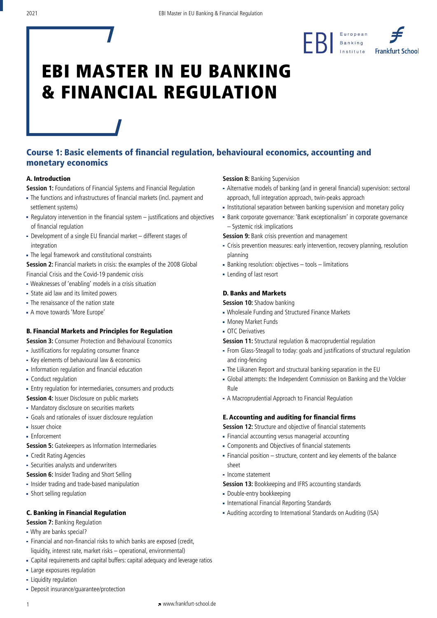

# Course 1: Basic elements of financial regulation, behavioural economics, accounting and monetary economics

## A. Introduction

**Session 1:** Foundations of Financial Systems and Financial Regulation

- The functions and infrastructures of financial markets (incl. payment and settlement systems)
- Regulatory intervention in the financial system justifications and objectives of financial regulation
- Development of a single EU financial market different stages of integration
- The legal framework and constitutional constraints
- Session 2: Financial markets in crisis: the examples of the 2008 Global Financial Crisis and the Covid-19 pandemic crisis
- Weaknesses of 'enabling' models in a crisis situation
- State aid law and its limited powers
- The renaissance of the nation state
- A move towards 'More Europe'

# B. Financial Markets and Principles for Regulation

**Session 3: Consumer Protection and Behavioural Economics** 

- Justifications for regulating consumer finance
- Key elements of behavioural law & economics
- Information regulation and financial education
- **Conduct regulation**
- Entry regulation for intermediaries, consumers and products
- **Session 4: Issuer Disclosure on public markets**
- Mandatory disclosure on securities markets
- Goals and rationales of issuer disclosure regulation
- **E** Issuer choice
- **Enforcement**
- **Session 5:** Gatekeepers as Information Intermediaries
- Credit Rating Agencies
- Securities analysts and underwriters
- **Session 6:** Insider Trading and Short Selling
- Insider trading and trade-based manipulation
- Short selling regulation

# C. Banking in Financial Regulation

- **Session 7: Banking Regulation**
- Why are banks special?
- Financial and non-financial risks to which banks are exposed (credit, liquidity, interest rate, market risks – operational, environmental)
- Capital requirements and capital buffers: capital adequacy and leverage ratios
- Large exposures regulation
- **Eliquidity regulation**
- Deposit insurance/guarantee/protection

### **Session 8: Banking Supervision**

- Alternative models of banking (and in general financial) supervision: sectoral approach, full integration approach, twin-peaks approach
- **Institutional separation between banking supervision and monetary policy**
- Bank corporate governance: 'Bank exceptionalism' in corporate governance – Systemic risk implications

**Session 9: Bank crisis prevention and management** 

- Crisis prevention measures: early intervention, recovery planning, resolution planning
- Banking resolution: objectives tools limitations
- **Exercise 1 Lending of last resort**

# D. Banks and Markets

**Session 10:** Shadow banking

- Wholesale Funding and Structured Finance Markets
- Money Market Funds
- **OTC** Derivatives
- **Session 11:** Structural regulation & macroprudential regulation
- From Glass-Steagall to today: goals and justifications of structural regulation and ring-fencing
- The Liikanen Report and structural banking separation in the EU
- Global attempts: the Independent Commission on Banking and the Volcker Rule
- A Macroprudential Approach to Financial Regulation

# E. Accounting and auditing for financial firms

**Session 12:** Structure and objective of financial statements

- Financial accounting versus managerial accounting
- Components and Objectives of financial statements
- Financial position structure, content and key elements of the balance sheet
- Income statement
- **Session 13: Bookkeeping and IFRS accounting standards**
- Double-entry bookkeeping
- **International Financial Reporting Standards**
- Auditing according to International Standards on Auditing (ISA)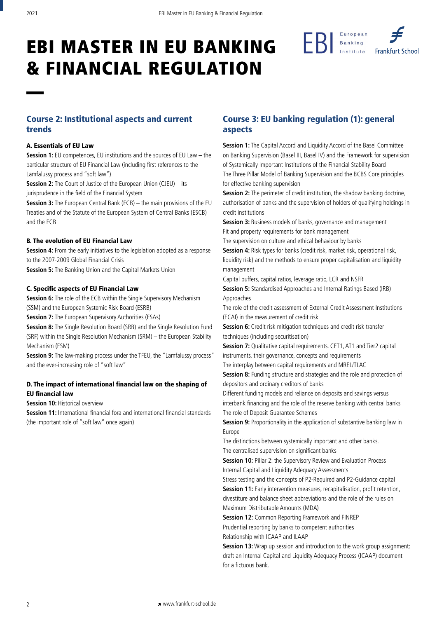

# Course 2: Institutional aspects and current trends

#### A. Essentials of EU Law

**Session 1:** EU competences, EU institutions and the sources of EU Law – the particular structure of EU Financial Law (including first references to the Lamfalussy process and "soft law")

**Session 2:** The Court of Justice of the European Union (CJEU) – its jurisprudence in the field of the Financial System

**Session 3:** The European Central Bank (ECB) – the main provisions of the EU Treaties and of the Statute of the European System of Central Banks (ESCB) and the ECB

#### B. The evolution of EU Financial Law

**Session 4:** From the early initiatives to the legislation adopted as a response to the 2007-2009 Global Financial Crisis **Session 5:** The Banking Union and the Capital Markets Union

#### C. Specific aspects of EU Financial Law

**Session 6:** The role of the ECB within the Single Supervisory Mechanism (SSM) and the European Systemic Risk Board (ESRB)

**Session 7:** The European Supervisory Authorities (ESAs)

**Session 8:** The Single Resolution Board (SRB) and the Single Resolution Fund (SRF) within the Single Resolution Mechanism (SRM) – the European Stability Mechanism (ESM)

**Session 9:** The law-making process under the TFEU, the "Lamfalussy process" and the ever-increasing role of "soft law"

# D. The impact of international financial law on the shaping of EU financial law

**Session 10: Historical overview** 

**Session 11:** International financial fora and international financial standards (the important role of "soft law" once again)

# Course 3: EU banking regulation (1): general aspects

**Session 1:** The Capital Accord and Liquidity Accord of the Basel Committee on Banking Supervision (Basel III, Basel IV) and the Framework for supervision of Systemically Important Institutions of the Financial Stability Board The Three Pillar Model of Banking Supervision and the BCBS Core principles for effective banking supervision

**Session 2:** The perimeter of credit institution, the shadow banking doctrine, authorisation of banks and the supervision of holders of qualifying holdings in credit institutions

**Session 3:** Business models of banks, governance and management Fit and property requirements for bank management

The supervision on culture and ethical behaviour by banks

**Session 4:** Risk types for banks (credit risk, market risk, operational risk, liquidity risk) and the methods to ensure proper capitalisation and liquidity management

Capital buffers, capital ratios, leverage ratio, LCR and NSFR

**Session 5:** Standardised Approaches and Internal Ratings Based (IRB) Approaches

The role of the credit assessment of External Credit Assessment Institutions (ECAI) in the measurement of credit risk

**Session 6:** Credit risk mitigation techniques and credit risk transfer techniques (including securitisation)

**Session 7:** Qualitative capital requirements. CET1, AT1 and Tier2 capital instruments, their governance, concepts and requirements

The interplay between capital requirements and MREL/TLAC

**Session 8:** Funding structure and strategies and the role and protection of depositors and ordinary creditors of banks

Different funding models and reliance on deposits and savings versus interbank financing and the role of the reserve banking with central banks The role of Deposit Guarantee Schemes

**Session 9:** Proportionality in the application of substantive banking law in Europe

The distinctions between systemically important and other banks. The centralised supervision on significant banks

**Session 10: Pillar 2: the Supervisory Review and Evaluation Process** Internal Capital and Liquidity Adequacy Assessments

Stress testing and the concepts of P2-Required and P2-Guidance capital **Session 11:** Early intervention measures, recapitalisation, profit retention, divestiture and balance sheet abbreviations and the role of the rules on Maximum Distributable Amounts (MDA)

**Session 12:** Common Reporting Framework and FINREP Prudential reporting by banks to competent authorities Relationship with ICAAP and ILAAP

**Session 13:** Wrap up session and introduction to the work group assignment: draft an Internal Capital and Liquidity Adequacy Process (ICAAP) document for a fictuous bank.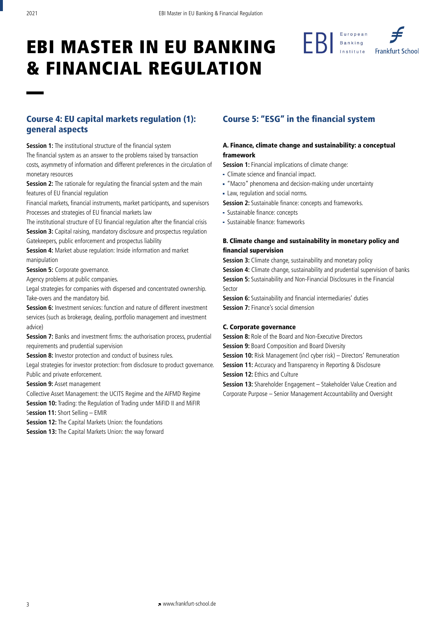

# Course 4: EU capital markets regulation (1): general aspects

**Session 1:** The institutional structure of the financial system The financial system as an answer to the problems raised by transaction costs, asymmetry of information and different preferences in the circulation of monetary resources

**Session 2:** The rationale for regulating the financial system and the main features of EU financial regulation

Financial markets, financial instruments, market participants, and supervisors Processes and strategies of EU financial markets law

The institutional structure of EU financial regulation after the financial crisis **Session 3:** Capital raising, mandatory disclosure and prospectus regulation Gatekeepers, public enforcement and prospectus liability

**Session 4:** Market abuse regulation: Inside information and market manipulation

**Session 5: Corporate governance.** 

Agency problems at public companies.

Legal strategies for companies with dispersed and concentrated ownership. Take-overs and the mandatory bid.

**Session 6:** Investment services: function and nature of different investment services (such as brokerage, dealing, portfolio management and investment advice)

**Session 7:** Banks and investment firms: the authorisation process, prudential requirements and prudential supervision

**Session 8:** Investor protection and conduct of business rules.

Legal strategies for investor protection: from disclosure to product governance. Public and private enforcement.

**Session 9:** Asset management

Collective Asset Management: the UCITS Regime and the AIFMD Regime

**Session 10:** Trading: the Regulation of Trading under MiFID II and MiFIR

S**ession 11:** Short Selling – EMIR

**Session 12:** The Capital Markets Union: the foundations

**Session 13:** The Capital Markets Union: the way forward

# Course 5: "ESG" in the financial system

## A. Finance, climate change and sustainability: a conceptual framework

**Session 1:** Financial implications of climate change:

- Climate science and financial impact.
- "Macro" phenomena and decision-making under uncertainty
- Law, regulation and social norms.
- **Session 2:** Sustainable finance: concepts and frameworks.
- Sustainable finance: concepts
- Sustainable finance: frameworks

# B. Climate change and sustainability in monetary policy and financial supervision

**Session 3:** Climate change, sustainability and monetary policy

**Session 4:** Climate change, sustainability and prudential supervision of banks **Session 5:** Sustainability and Non-Financial Disclosures in the Financial Sector

**Session 6:** Sustainability and financial intermediaries' duties

**Session 7:** Finance's social dimension

## C. Corporate governance

**Session 8:** Role of the Board and Non-Executive Directors

**Session 9: Board Composition and Board Diversity** 

**Session 10:** Risk Management (incl cyber risk) – Directors' Remuneration

**Session 11:** Accuracy and Transparency in Reporting & Disclosure

**Session 12: Ethics and Culture** 

**Session 13:** Shareholder Engagement – Stakeholder Value Creation and Corporate Purpose – Senior Management Accountability and Oversight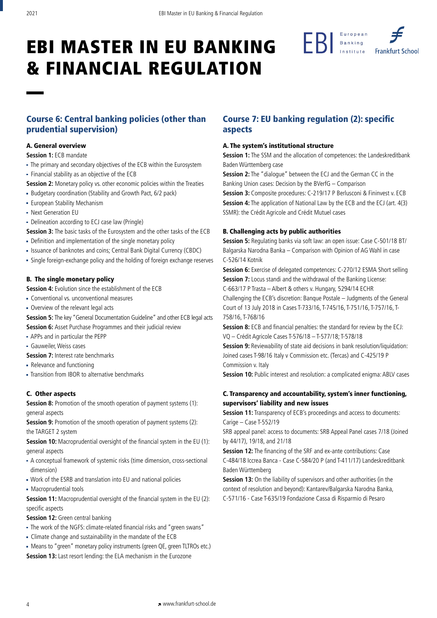

# Course 6: Central banking policies (other than prudential supervision)

### A. General overview

**Session 1: ECB mandate** 

- The primary and secondary objectives of the ECB within the Eurosystem
- Financial stability as an objective of the ECB

**Session 2:** Monetary policy vs. other economic policies within the Treaties

- Budgetary coordination (Stability and Growth Pact, 6/2 pack)
- European Stability Mechanism
- Next Generation EU
- Delineation according to ECJ case law (Pringle)

**Session 3:** The basic tasks of the Eurosystem and the other tasks of the ECB

- Definition and implementation of the single monetary policy
- **Example 2** Issuance of banknotes and coins; Central Bank Digital Currency (CBDC)
- Single foreign-exchange policy and the holding of foreign exchange reserves

#### B. The single monetary policy

**Session 4:** Evolution since the establishment of the ECB

- Conventional vs. unconventional measures
- Overview of the relevant legal acts
- **Session 5:** The key "General Documentation Guideline" and other ECB legal acts **Session 6:** Asset Purchase Programmes and their judicial review
- APPs and in particular the PEPP
- Gauweiler, Weiss cases
- **Session 7: Interest rate benchmarks**
- Relevance and functioning
- Transition from IBOR to alternative benchmarks

#### C. Other aspects

**Session 8:** Promotion of the smooth operation of payment systems (1): general aspects

**Session 9:** Promotion of the smooth operation of payment systems (2): the TARGET 2 system

**Session 10:** Macroprudential oversight of the financial system in the EU (1): general aspects

- A conceptual framework of systemic risks (time dimension, cross-sectional dimension)
- Work of the ESRB and translation into EU and national policies
- Macroprudential tools

**Session 11:** Macroprudential oversight of the financial system in the EU (2): specific aspects

**Session 12:** Green central banking

- The work of the NGFS: climate-related financial risks and "green swans"
- Climate change and sustainability in the mandate of the ECB
- Means to "green" monetary policy instruments (green QE, green TLTROs etc.) **Session 13:** Last resort lending: the ELA mechanism in the Eurozone

# Course 7: EU banking regulation (2): specific aspects

### A. The system's institutional structure

**Session 1:** The SSM and the allocation of competences: the Landeskreditbank Baden Württemberg case

**Session 2:** The "dialogue" between the ECJ and the German CC in the Banking Union cases: Decision by the BVerfG – Comparison

**Session 3:** Composite procedures: C-219/17 P Berlusconi & Fininvest v. ECB **Session 4:** The application of National Law by the ECB and the ECJ (art. 4(3) SSMR): the Crédit Agricole and Crédit Mutuel cases

### B. Challenging acts by public authorities

**Session 5:** Regulating banks via soft law: an open issue: Case C-501/18 BT/ Balgarska Narodna Banka – Comparison with Opinion of AG Wahl in case C-526/14 Kotnik

**Session 6:** Exercise of delegated competences: C-270/12 ESMA Short selling **Session 7:** Locus standi and the withdrawal of the Banking License:

C-663/17 P Trasta – Albert & others v. Hungary, 5294/14 ECHR

Challenging the ECB's discretion: Banque Postale – Judgments of the General Court of 13 July 2018 in Cases T-733/16, T-745/16, T-751/16, T-757/16, T-758/16, T-768/16

**Session 8:** ECB and financial penalties: the standard for review by the ECJ: VQ – Crédit Agricole Cases T-576/18 – T-577/18; T-578/18

**Session 9:** Reviewability of state aid decisions in bank resolution/liquidation: Joined cases T-98/16 Italy v Commission etc. (Tercas) and C-425/19 P Commission v. Italy

**Session 10:** Public interest and resolution: a complicated enigma: ABLV cases

# C. Transparency and accountability, system's inner functioning, supervisors' liability and new issues

**Session 11:** Transparency of ECB's proceedings and access to documents: Carige – Case T-552/19

SRB appeal panel: access to documents: SRB Appeal Panel cases 7/18 (Joined by 44/17), 19/18, and 21/18

**Session 12:** The financing of the SRF and ex-ante contributions: Case C-484/18 Iccrea Banca - Case C-584/20 P (and T-411/17) Landeskreditbank Baden Württemberg

**Session 13:** On the liability of supervisors and other authorities (in the context of resolution and beyond): Kantarev/Balgarska Narodna Banka, C-571/16 - Case T-635/19 Fondazione Cassa di Risparmio di Pesaro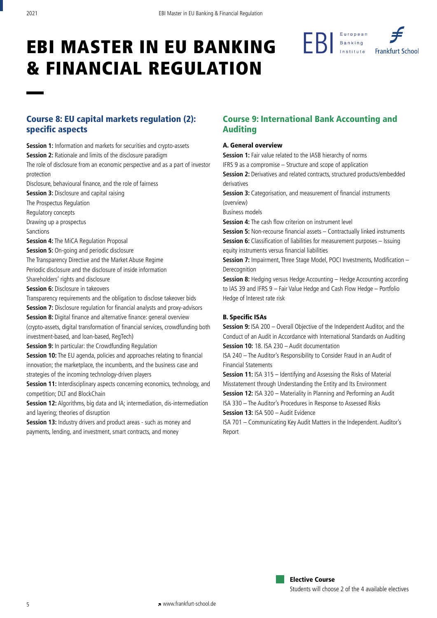

# Course 8: EU capital markets regulation (2): specific aspects

**Session 1:** Information and markets for securities and crypto-assets **Session 2:** Rationale and limits of the disclosure paradigm The role of disclosure from an economic perspective and as a part of investor protection

Disclosure, behavioural finance, and the role of fairness

**Session 3: Disclosure and capital raising** 

The Prospectus Regulation

Regulatory concepts

Drawing up a prospectus

Sanctions

**Session 4:** The MiCA Regulation Proposal

**Session 5:** On-going and periodic disclosure The Transparency Directive and the Market Abuse Regime

Periodic disclosure and the disclosure of inside information

Shareholders' rights and disclosure

**Session 6: Disclosure in takeovers** 

Transparency requirements and the obligation to disclose takeover bids

**Session 7:** Disclosure regulation for financial analysts and proxy-advisors **Session 8:** Digital finance and alternative finance: general overview (crypto-assets, digital transformation of financial services, crowdfunding both investment-based, and loan-based, RegTech)

**Session 9:** In particular: the Crowdfunding Regulation

**Session 10:** The EU agenda, policies and approaches relating to financial innovation; the marketplace, the incumbents, and the business case and strategies of the incoming technology-driven players

**Session 11:** Interdisciplinary aspects concerning economics, technology, and competition; DLT and BlockChain

**Session 12:** Algorithms, big data and IA; intermediation, dis-intermediation and layering; theories of disruption

**Session 13:** Industry drivers and product areas - such as money and payments, lending, and investment, smart contracts, and money

# Course 9: International Bank Accounting and Auditing

#### A. General overview

**Session 1:** Fair value related to the IASB hierarchy of norms IFRS 9 as a compromise – Structure and scope of application **Session 2:** Derivatives and related contracts, structured products/embedded derivatives **Session 3:** Categorisation, and measurement of financial instruments (overview)

Business models

**Session 4:** The cash flow criterion on instrument level

**Session 5:** Non-recourse financial assets – Contractually linked instruments **Session 6:** Classification of liabilities for measurement purposes – Issuing equity instruments versus financial liabilities

**Session 7:** Impairment, Three Stage Model, POCI Investments, Modification – Derecognition

**Session 8:** Hedging versus Hedge Accounting – Hedge Accounting according to IAS 39 and IFRS 9 – Fair Value Hedge and Cash Flow Hedge – Portfolio Hedge of Interest rate risk

# B. Specific ISAs

**Session 9: ISA 200 – Overall Objective of the Independent Auditor, and the** Conduct of an Audit in Accordance with International Standards on Auditing **Session 10:** 18. ISA 230 – Audit documentation

ISA 240 – The Auditor's Responsibility to Consider Fraud in an Audit of Financial Statements

**Session 11: ISA 315 – Identifying and Assessing the Risks of Material** Misstatement through Understanding the Entity and Its Environment **Session 12:** ISA 320 – Materiality in Planning and Performing an Audit ISA 330 – The Auditor's Procedures in Response to Assessed Risks **Session 13:** ISA 500 – Audit Evidence

ISA 701 – Communicating Key Audit Matters in the Independent. Auditor's Report

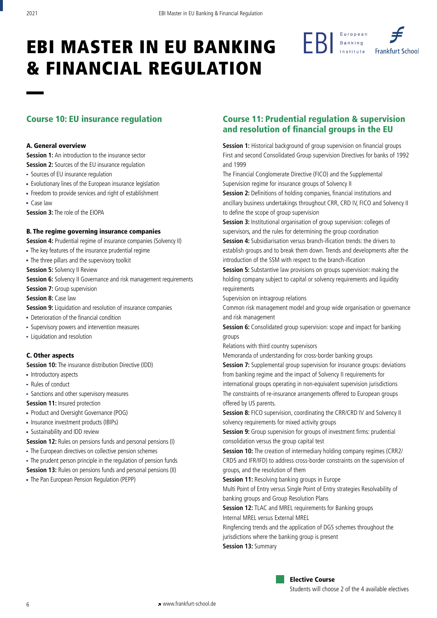

#### A. General overview

**Session 1:** An introduction to the insurance sector

- **Session 2:** Sources of the EU insurance regulation
- Sources of EU insurance regulation
- Evolutionary lines of the European insurance legislation
- Freedom to provide services and right of establishment
- Case law

**Session 3:** The role of the EIOPA

#### B. The regime governing insurance companies

**Session 4:** Prudential regime of insurance companies (Solvency II)

The key features of the insurance prudential regime

The three pillars and the supervisory toolkit

**Session 5: Solvency II Review** 

**Session 6:** Solvency II Governance and risk management requirements

**Session 7: Group supervision** 

**Session 8: Case law** 

- **Session 9:** Liquidation and resolution of insurance companies
- Deterioration of the financial condition
- Supervisory powers and intervention measures
- Liquidation and resolution

#### C. Other aspects

**Session 10:** The insurance distribution Directive (IDD)

- Introductory aspects
- Rules of conduct
- Sanctions and other supervisory measures

**Session 11:** Insured protection

- Product and Oversight Governance (POG)
- Insurance investment products (IBIPs)
- Sustainability and IDD review

**Session 12:** Rules on pensions funds and personal pensions (I)

The European directives on collective pension schemes

The prudent person principle in the regulation of pension funds

**Session 13:** Rules on pensions funds and personal pensions (II)

The Pan European Pension Regulation (PEPP)

# Course 10: EU insurance regulation Course 11: Prudential regulation & supervision and resolution of financial groups in the EU

**Session 1:** Historical background of group supervision on financial groups First and second Consolidated Group supervision Directives for banks of 1992 and 1999

The Financial Conglomerate Directive (FICO) and the Supplemental Supervision regime for insurance groups of Solvency II

**Session 2:** Definitions of holding companies, financial institutions and ancillary business undertakings throughout CRR, CRD IV, FICO and Solvency II to define the scope of group supervision

**Session 3:** Institutional organisation of group supervision: colleges of supervisors, and the rules for determining the group coordination **Session 4:** Subsidiarisation versus branch-ification trends: the drivers to establish groups and to break them down. Trends and developments after the

introduction of the SSM with respect to the branch-ification

**Session 5:** Substantive law provisions on groups supervision: making the holding company subject to capital or solvency requirements and liquidity requirements

Supervision on intragroup relations

Common risk management model and group wide organisation or governance and risk management

**Session 6:** Consolidated group supervision: scope and impact for banking groups

Relations with third country supervisors

Memoranda of understanding for cross-border banking groups

**Session 7:** Supplemental group supervision for insurance groups: deviations from banking regime and the impact of Solvency II requirements for international groups operating in non-equivalent supervision jurisdictions The constraints of re-insurance arrangements offered to European groups offered by US parents.

**Session 8:** FICO supervision, coordinating the CRR/CRD IV and Solvency II solvency requirements for mixed activity groups

**Session 9:** Group supervision for groups of investment firms: prudential consolidation versus the group capital test

**Session 10:** The creation of intermediary holding company regimes (CRR2/ CRD5 and IFR/IFD) to address cross-border constraints on the supervision of groups, and the resolution of them

**Session 11:** Resolving banking groups in Europe

Multi Point of Entry versus Single Point of Entry strategies Resolvability of banking groups and Group Resolution Plans

**Session 12:** TLAC and MREL requirements for Banking groups Internal MREL versus External MREL

Ringfencing trends and the application of DGS schemes throughout the

jurisdictions where the banking group is present

**Session 13:** Summary